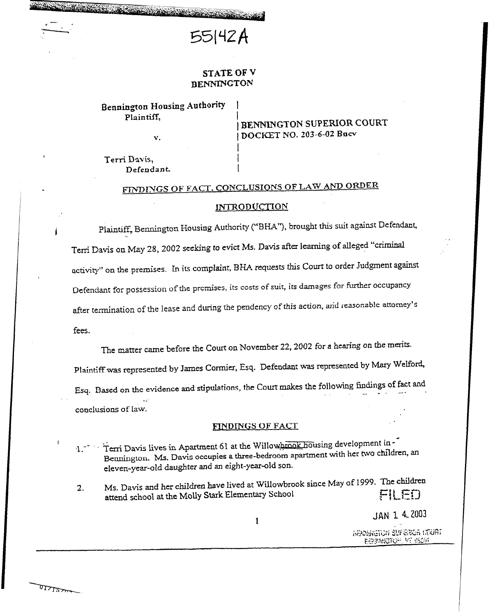

## STATE OF V BENNINGTON

## Bennington Housing Authority Plaintiff,

1 BENNINGTON SUPERIOR COURT v. 1 DOCKET NO. 203-6-02 Bocv

Terri Davis, Defendant

# FINDINGS OF FACT. CONCLUSIONS OF LAW AND ORDER

#### **INTRODUCTION**

Plaintiff, Bennington Housing Authority ("BHA"), brought this suit against Defendant,  $\mathcal{L}$  is the same of place of place  $\mathcal{L}$  is the same of place  $\mathcal{L}$  is the same of place  $\mathcal{L}$  is the same of place  $\mathcal{L}$  is the same of place  $\mathcal{L}$  is the same of  $\mathcal{L}$  is the same of  $\mathcal{L}$  is th Terri Davis on May  $28$ ,  $2002$  seeking to evict Ms. Davis after learning of  $2.5$ activity" on the premises. In its complaint, BHA requests this Court to order Judgment against Defendant for possession of the premises, its costs of suit, its damages for further occupancy after termination of the lease and during the pendency of this action, and reasonable attorney's fees.

The matter came before the Court on November 22,2002 for a hearing on the merits.

Plaintiff was represented by James Cormier, Esq. Defendant was represented by Mary Welford, Esq. Based on the evidence and stipulations, the Court makes the following findings of fact and  $\mathcal{L}^{\mathcal{L}}$ conclusions of law.

#### FINDINGS OF FACT

1.<sup>--</sup> Terri Davis lives in Apartment 61 at the Willowhrook housing development in-1. Terri Davis lives in Apartment 61 at the Willows Constant in the Big children. Bennington. Ms. Davis occupies a three-bedroom apartment with her hvor eleven-year-old daughter and an eight-year-old son.

2. Ms. Davis and her children have lived at Willowbrook since May of 1999. The children attend school at the Molly Stark Elementary School  $\Box$ attend school at the Molly Stark Elementary School

 $\mathbf{1}$ 

JAN 1 4 2003

**GENERATOR SUPEROR COURT** BENNWATOR VT 6524

مسروري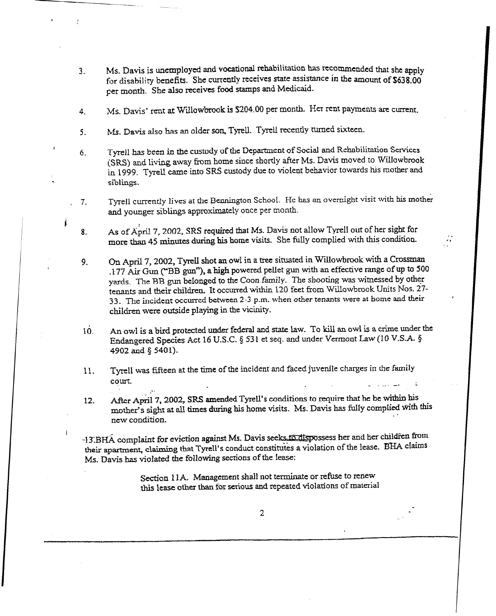- 3. Ms. Davis is unemployed and vocational rehabilitation has recommended that she apply for disability benefits. She currently receives state assistance in the amount of \$638.00 per month. She also receives food stamps and Medicaid-
- 4. Ms. Davis' rent at Willowbrook is \$204.00 per month. Her rent payments are current.
- $5<sub>z</sub>$ Ms. Davis also has an older son, Tyrell. Tyrell recently turned sixteen.

Y : The Contract of the Property of the

i.

4

i

I

. .

- 6. Tyrell has been in the custody of the Department of Social and Rehabilitation Services (SRS) and living away from home since shortly after Ms. Davis moved to Willowbrook in 1999. Tyreu came into SRS custody due to violent behavior towards his mother and siblings.
- / 7. Tyrell currently lives at the Bennington School. He has an overnight visit with his mother and younger siblings approximately once per month.
- 8. As of April 7, 2002, SRS required that Ms. Davis not allow Tyrell out of her sight for more than 45 minures during his home visits. She fulIy complied with this condition.
- 9. I On April 7, 2002, Tyrell shot an owl in a tree situated in Willowbrook with a Crossman .177 Air Gun ("BB gun"), a high powered pellet gun with an effective range of up to 500 yards. The BB gun belonged to the Coon family. The shooting was witnessed by other tenants and their children. It occurred within 120 feet from Willowbrook Units Nos. 27-33. The incident occurred between 2-3 p.m. when other tenants were at home and their children were outside playing in the vicinity.
- 10. An owl is a bird protected under federal and state law. To kill an owl is a crime under the Endangered Species Act 16 U.S.C. § 531 et seq. and under Vermont Law (10 V.S.A. § 4902 and § 5401).
- 11. Tyrell was fifteen at the time of the incident and faced juvenile charges in the family court. - . \_ -. -
- 12. After April 7, 2002, SRS amended Tyrell's conditions to require that he be within  $\frac{1}{10}$ mother's sight at all times during his home visits. Ms. Davis has fully complied with this new condition.

-13.BHA complaint for eviction against Ms. Davis seeks to dispossess her and her children from their apartment, claiming that Tyrell's conduct constitutes a violation of the lease. BHA claims Ms. Davis has violated tie following sections of the lease:

> Section 11A. Management shall not terminate or refuse to renew this lease other than for serious and repeated violations of material

> > 2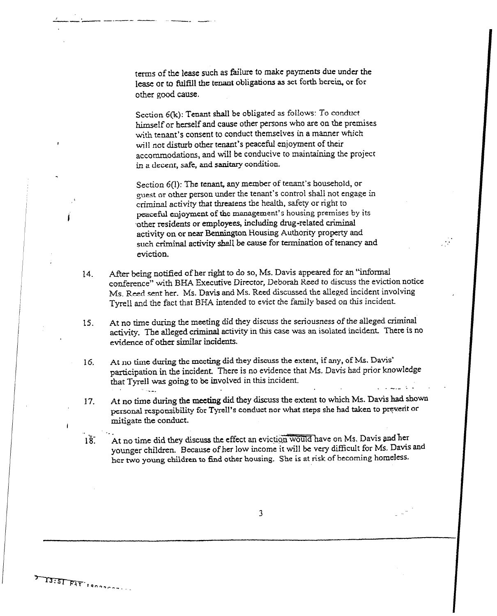terms of the lease such as failure to make payments due under the lease or to fulfill the tenant obligations as set forth herein., or for other good cause.

Section 6(k): Tenant shall be obligated as follows: To conduct himself or herself and cause other persons who are on the premises with tenant's consent to conduct themselves in a manner which will not disturb other tenant's peaceful enjoyment of their accommodations, and will be conducive to maintaining the project in a decent, safe, and sanitary condition.

I

,

ISISI FAT IANNOCALLA

Section 6(l): The tenant, any member of tenant's household, or guest or other person under the tenant's control shall not engage in criminal activity that theatens the health, safety or right to peaceful enjoyment of the management's housing premises by its other residents or employees, including drug-related criminal activity on or near Bennington Housing Authority property and such criminal activity shall be cause for termination of tenancy and eviction.

 $\gamma$ 

- 14. After being notified of her right to do so, Ms. Davis appeared for an "informal conference" with BHA Executive Director, Deborah Reed to discuss the eviction notice Ms. Reed sent her. Ms. Davis and Ms. Reed discussed the alleged incident involving Tyrell and the fact that BHA intended to evict the family based on this incident.
- 15. At no time during the meeting did they discuss the seriousness of the alleged criminal activity. The alleged criminal activity in this case was an isolated incident There is no evidence of other similar incidents.
- 16. At no time during the meeting did they discuss the extent, if any, of Ms. Davis' participation in the incident. There is no evidence that Ms. Davis had prior knowledge that Tyrell was going to be involved in this incident. . . a.\_ : - -em
- At no time during the meeting did they discuss the extent to which Ms. Davis had shown 17. personal responsibility for Tyrell's conduct nor what steps she had taken to preverit or mitigate the conduct.
- At no time did they discuss the effect an eviction would have on Ms. Davis and her  $1\overline{8}$ . younger children. Because of her low income it will be very difficult for Ms. Davis and her two young children to find other housing. She is at risk of becoming homeless.

3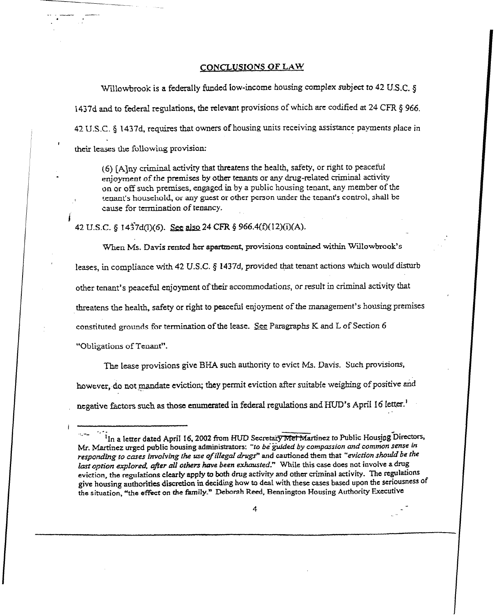### CONCLUSIONS OF LAW

Willowbrook is a federally funded low-income housing complex subject to 42 U.S.C. 8 1437d and to federal regulations, the relevant provisions of which are codified at 24 CFR § 966. 42 U.S.C. § 1437d, requires that owners of housing units receiving assistance payments place in their leases the following provision:

(6) [A]ny criminal activity that threatens the health, safety, or right to peaceful enjoyment of the premises by other tenants or any drug-related criminal activity on or off such premises, engaged in by a public housing tenant, any member of the tenant's household, or any guest or other person under the tenant's control, shall be cause for termination of tenancy.

42 U.S.C. § 1437d(1)(6). See also 24 CFR § 966.4(f)(12)(i)(A).

When Ms. Davis rented her apartment, provisions contained within Willowbrook's leases, in compliance with 42 U.S.C. § 1437d, provided that tenant actions which would disturb other tenant's peaceful enjoyment of their accommodations, or result in criminal activity that threatens the health, safety or right to peaceful enjoyment of the management's housing premises constituted grounds for termination of the lease. See Paragraphs K and L of Section 6 "Obligations of Tenant".

The lease provisions give BHA such authority to evict Ms. Davis. Such provisions, however, do not mandate eviction; they permit eviction after suitable weighing of positive and negative factors such as those enumerated in federal regulations and HUD's April 16 letter.<sup>1</sup>

<sup>&</sup>lt;sup>1</sup>In a letter dated April 16, 2002 from HUD Secretary Met Martinez to Public Housing Directors, Mr. Martinez urged public housing administrators: "to be guided by compassion and common sense in responding to cases involving the use of illegal drugs" and cautioned them that "eviction should be the last option explored, after all others have been exhausted." While this case does not involve a drug eviction, the regulations clearly apply to both drug activity and other criminal activity. The regulations give housing authorities discretion in deciding how to deal with these cases based upon the seriousness of the situation, "the effect on the family." Deborah Reed, Bennington Housing Authority Executive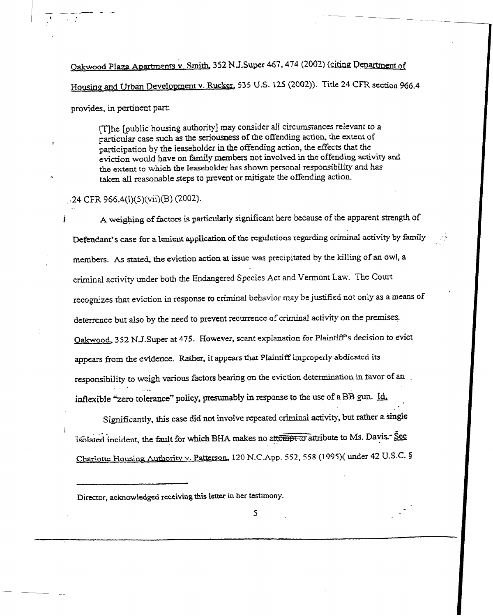Oakwood Plaza Apartments v. Smith, 352 N.J.Super 467, 474 (2002) (citing Department of Housing and Urban Development v. Rucker, 535 U.S. 125 (2002)). Title 24 CFR section 966.4 provides, in pertinent part:

[T]he [public housing authority] may consider all circumstances relevant to a particular case such as the seriousness of the offending action. the extent of participation by the leaseholder in the offending action, the effects that the eviction would have on family members not involved in the offending activity and the extent to which the leaseholder has shown personai responsibility and has . taken all reasonable steps to prevent or mitigate the offending action.

#### $(24$  CFR 966.4(1)(5)(vii)(B) (2002).

 $\mathbb{I}$ 

- -\_I\_ - -

 $\epsilon = \frac{1}{2} \frac{1}{\sqrt{2}}$ 

,

,

I

A weighing of factors is particularly significant here because of the apparent strength of Defendant's case for a lenient application of the regulations regarding criminal activity by family members. As stated, the eviction action at issue was precipitated by the killing of an owl, a criminal activity under both the Endangered Species Act and Vermont Law. The Court recognizes that eviction in response to criminal behavior may be justified not only as a means of deterrence but also by the need to prevent recurrence of criminal activity on the premises. Oakwood, 352 N.J.Super at 475. However, scant explanation for Plaintiff's decision to evict appears from the evidence. Rather, it appears that Plaintiff improperly abdicated its responsibility to weigh various factors bearing on the eviction determination in favor of au . -. -\_ inflexible "zero tolerance" policy, presumably in response to the use of a BB gun. Id,

Significantly, this case did not involve repeated criminal activity, but rather a single isolated incident, the fault for which BHA makes no attempt to attribute to Ms. Davis-See Chariotte Housing Authority v. Patterson, 120 N.C.App. 552, 558 (1995)( under 42 U.S.C. §

Director, acknowledged receiving this letter in her testimony.

5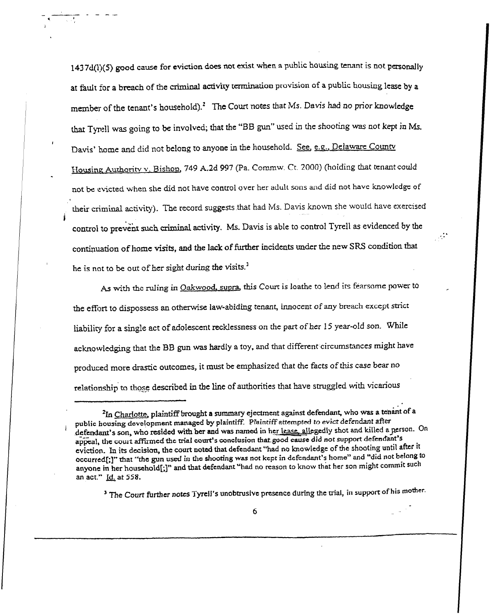$1437d(1)(5)$  good cause for eviction does not exist when a public housing tenant is not personally at fault for a breach of the criminal activity termination provision of a public housing lease by a member of the tenant's household).<sup>2</sup> The Court notes that Ms. Davis had no prior knowledge that Tynell was going to be involved; that the "BB gun" used in the shooting was not kept in Ms. Davis' home and did not belong to anyone in the household. See, e.g., Delaware County Housing Authority v. Bishop, 749 A.2d 997 (Pa. Commw. Ct. 2000) (hoiding that tenant could not be evicted when she did not have control over her adult sons and did not have knowledge of their criminal activity). The record suggests that had Ms. Davis known she would have exercised control to prevent such criminal activity. Ms. Davis is able to control Tyrell as evidenced by the continuation of home visits, and the lack of further incidents under the new SRS condition that he is not to be out of her sight during the visits.<sup>1</sup>

 $\mathcal{L}^*$ 

I

i

As with the ruling in Oakwood, supra, this Court is loathe to lend its fearsome power to the effort to dispossess an otherwise law-abiding tenant, innocent of any breach except strict liability for a single act of adolescent recklessness on the part of her 15 year-old son. While acknowledging that the BB gun was hardly a toy, and that different circumstances might have produced more drastic outcomes, it must be emphasized that the facts of this case bear no relationship to those described in the line of authorities that have struggled with vicarious

<sup>3</sup> The Court further notes Tyrell's unobtrusive presence during the trial, in support of his mother.

<sup>&</sup>lt;sup>2</sup>In Charlotte, plaintiff brought a summary ejectment against defendant, who was a tenant of a public housing development managed by plaintiff. Plaintiff attempted to evict defendant after defendant's son, who resided with her and was named in her lease, allegedly shot and killed a person. On appeal, the court affirmed the trial court's conclusion that good cause did not support defendant's eviction. In its decision, the court noted that defendant "had no knowledge of the shooting until after it occurred[;]" that "the gun used in the shooting was not kept in defendant's home" and "did not belong to anyone in her household[;]" and that defendant "had no reason to know that her son might commit such an act." Id. at 558.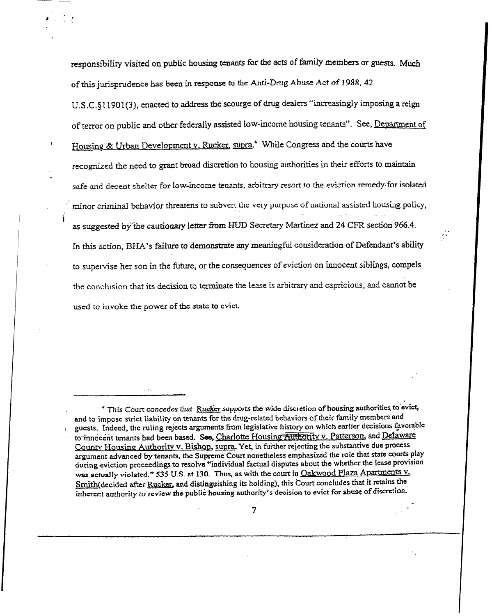responsibility visited on public housing tenants for the acts of family members or guests. Much of this jurisprudence has been in response to the Anti-Drug Abuse Act of 1988, 42 U.S.C. §11901(3), enacted to address the scourge of drug dealers "increasingly imposing a reign of terror on public and other federally assisted low-income housing tenants". See, Department of Housing & Urban Development v. Rucker, supra.<sup>4</sup> While Congress and the courts have recognized the need to grant broad discretion to housing authorities in their efforts to maintain safe and decent shelter for low-income tenants, arbitrary resort to the eviction remedy for isolated minor criminal behavior threatens to subvert the very purpose of national assisted housing policy, as suggested by the cautionary letter from HUD Secretary Martinez and 24 CFR section 966.4. In this action, BHA's failure to demonstrate any meaningful consideration of Defendant's ability to supervise her son in the future, or the consequences of eviction on innocent siblings, compels the conclusion that its decision to terminate the Lease is arbitrary and capricious, and cannot be used tc invoke the power of the state to evict.

i

<sup>&</sup>lt;sup>4</sup> This Court concedes that Rucker supports the wide discretion of housing authorities to evict, and to impose strict liability on tenants for the drug-related behaviors of their family members and guests. Indeed, the ruling rejects arguments from legislative history on which earlier decisions favorable to innocent tenants had been based. See, Charlotte Housing Authority v. Patterson, and Delaware County Housing Authority v. Bishop, supra. Yet, in further rejecting the substantive due process argument advanced by tenants, the Supreme Court nonetheless emphasized the role that state courts play during eviction proceedings to resolve "individual factual disputes about the whether the lease provision was actually violated." 535 U.S. at 130. Thus, as with the court in Oakwood Plaza Apartments v. Smith(decided after Rucker, and distinguishing its holding), this Court concludes that it retains the inherent authority to review the public housing authority's decision to evict for abuse of discretion.